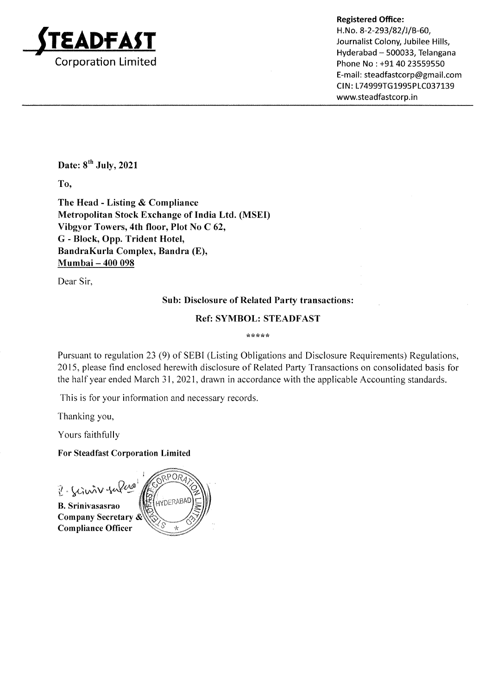

Registered Office:

H.No. 8-2-293/82/J/B-60,  $\mathbf{APFAST}$  Journalist Colony, Jubilee Hills, Hyderabad — 500033, Telangana E-mail: steadfastcorp@gmail.com CIN: L74999TG1995PLC037139 www.steadfastcorp.in

Date:  $8^{th}$  July, 2021

To,

The Head - Listing & Compliance Metropolitan Stock Exchange of India Ltd. (MSED Vibgyor Towers, 4th floor, Plot No C 62, G - Block, Opp. Trident Hotel, BandraKurla Complex, Bandra (E), Mumbai — 400 098

Dear Sir,

# Sub: Disclosure of Related Party transactions:

## Ref: SYMBOL: STEADFAST

Le ote ate ate af

Pursuant to regulation 23 (9) of SEBI (Listing Obligations and Disclosure Requirements) Regulations, 2015, please find enclosed herewith disclosure of Related Party Transactions on consolidated basis for the half year ended March 31, 2021, drawn in accordance with the applicable Accounting standards.

This is for your information and necessary records.

Thanking you,

Yours faithfully

For Steadfast Corporation Limited

 $2.$  Sciencier fuller

B. Srinivasasrao Compliance Officer